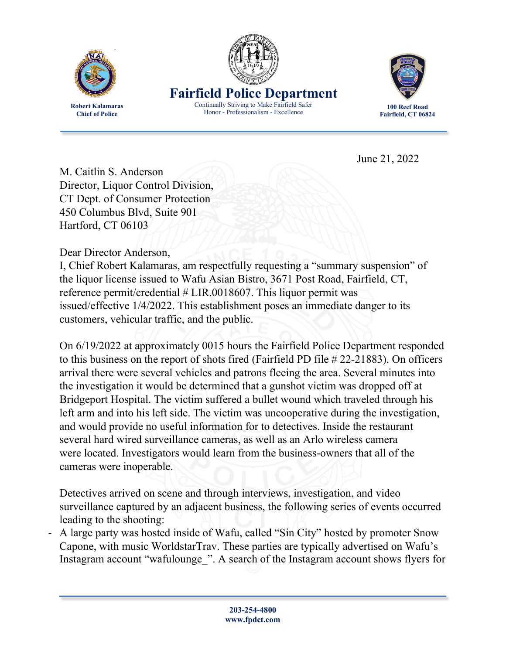

**Chief of Police**



**Fairfield Police Department** Continually Striving to Make Fairfield Safer

Honor - Professionalism - Excellence



**100 Reef Road Fairfield, CT 06824**

June 21, 2022

M. Caitlin S. Anderson Director, Liquor Control Division, CT Dept. of Consumer Protection 450 Columbus Blvd, Suite 901 Hartford, CT 06103

Dear Director Anderson,

I, Chief Robert Kalamaras, am respectfully requesting a "summary suspension" of the liquor license issued to Wafu Asian Bistro, 3671 Post Road, Fairfield, CT, reference permit/credential # LIR.0018607. This liquor permit was issued/effective 1/4/2022. This establishment poses an immediate danger to its customers, vehicular traffic, and the public.

On 6/19/2022 at approximately 0015 hours the Fairfield Police Department responded to this business on the report of shots fired (Fairfield PD file # 22-21883). On officers arrival there were several vehicles and patrons fleeing the area. Several minutes into the investigation it would be determined that a gunshot victim was dropped off at Bridgeport Hospital. The victim suffered a bullet wound which traveled through his left arm and into his left side. The victim was uncooperative during the investigation, and would provide no useful information for to detectives. Inside the restaurant several hard wired surveillance cameras, as well as an Arlo wireless camera were located. Investigators would learn from the business-owners that all of the cameras were inoperable.

Detectives arrived on scene and through interviews, investigation, and video surveillance captured by an adjacent business, the following series of events occurred leading to the shooting:

- A large party was hosted inside of Wafu, called "Sin City" hosted by promoter Snow Capone, with music WorldstarTrav. These parties are typically advertised on Wafu's Instagram account "wafulounge\_". A search of the Instagram account shows flyers for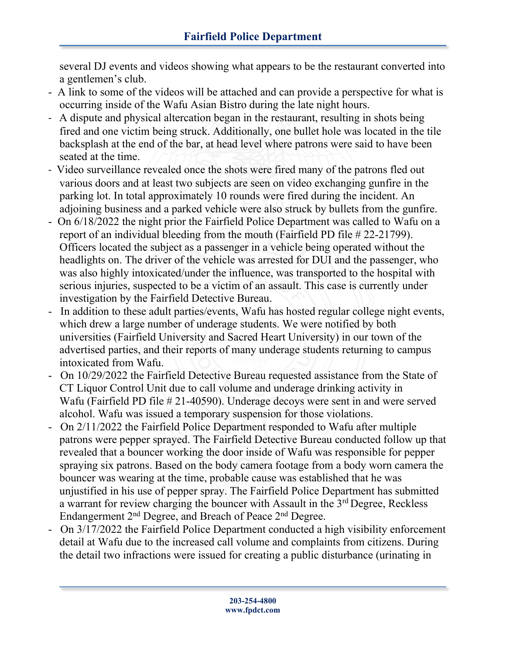several DJ events and videos showing what appears to be the restaurant converted into a gentlemen's club.

- A link to some of the videos will be attached and can provide a perspective for what is occurring inside of the Wafu Asian Bistro during the late night hours.
- A dispute and physical altercation began in the restaurant, resulting in shots being fired and one victim being struck. Additionally, one bullet hole was located in the tile backsplash at the end of the bar, at head level where patrons were said to have been seated at the time.
- Video surveillance revealed once the shots were fired many of the patrons fled out various doors and at least two subjects are seen on video exchanging gunfire in the parking lot. In total approximately 10 rounds were fired during the incident. An adjoining business and a parked vehicle were also struck by bullets from the gunfire.
- On 6/18/2022 the night prior the Fairfield Police Department was called to Wafu on a report of an individual bleeding from the mouth (Fairfield PD file # 22-21799). Officers located the subject as a passenger in a vehicle being operated without the headlights on. The driver of the vehicle was arrested for DUI and the passenger, who was also highly intoxicated/under the influence, was transported to the hospital with serious injuries, suspected to be a victim of an assault. This case is currently under investigation by the Fairfield Detective Bureau.
- In addition to these adult parties/events, Wafu has hosted regular college night events, which drew a large number of underage students. We were notified by both universities (Fairfield University and Sacred Heart University) in our town of the advertised parties, and their reports of many underage students returning to campus intoxicated from Wafu.
- On 10/29/2022 the Fairfield Detective Bureau requested assistance from the State of CT Liquor Control Unit due to call volume and underage drinking activity in Wafu (Fairfield PD file # 21-40590). Underage decoys were sent in and were served alcohol. Wafu was issued a temporary suspension for those violations.
- On 2/11/2022 the Fairfield Police Department responded to Wafu after multiple patrons were pepper sprayed. The Fairfield Detective Bureau conducted follow up that revealed that a bouncer working the door inside of Wafu was responsible for pepper spraying six patrons. Based on the body camera footage from a body worn camera the bouncer was wearing at the time, probable cause was established that he was unjustified in his use of pepper spray. The Fairfield Police Department has submitted a warrant for review charging the bouncer with Assault in the 3rd Degree, Reckless Endangerment 2nd Degree, and Breach of Peace 2nd Degree.
- On 3/17/2022 the Fairfield Police Department conducted a high visibility enforcement detail at Wafu due to the increased call volume and complaints from citizens. During the detail two infractions were issued for creating a public disturbance (urinating in